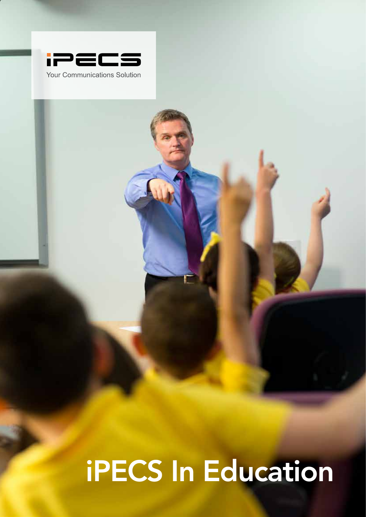

iPEC in Education

# **1** iPECS In Education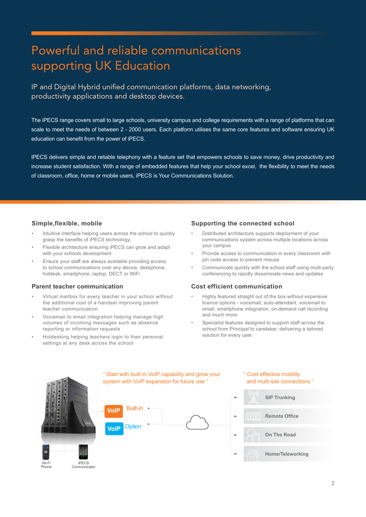# Powerful and reliable communications supporting UK Education

IP and Digital Hybrid unified communication platforms, data networking, productivity applications and desktop devices.

The iPECS range covers small to large schools, university campus and college requirements with a range of platforms that can scale to meet the needs of between 2 - 2000 users. Each platform utilises the same core features and software ensuring UK education can benefit from the power of iPECS.

iPECS delivers simple and reliable telephony with a feature set that empowers schools to save money, drive productivity and increase student satisfaction. With a range of embedded features that help your school excel, the flexibility to meet the needs of classroom, office, home or mobile users, iPECS is Your Communications Solution.

#### **Simple,flexible, mobile**

- Intuitive interface helping users across the school to quickly grasp the benefits of iPECS technology.
- Flexible architecture ensuring iPECS can grow and adapt with your schools development
- Ensure your staff are always available providing access to school communications over any device, deskphone, hotdesk, smartphone, laptop, DECT or WiFi

#### **Parent teacher communication**

- Virtual mailbox for every teacher in your school without the additional cost of a handset improving parent teacher communication.
- Voicemail to email integration helping manage high volumes of incoming messages such as absence reporting or information requests
- Hotdesking helping teachers login to their personal settings at any desk across the school

#### **Supporting the connected school**

- Distributed architecture supports deployment of your communications system across multiple locations across your campus
- Provide access to communication in every classroom with pin code access to prevent misuse
- Communicate quickly with the school staff using multi-party conferencing to rapidly disseminate news and updates

#### **Cost efficient communication**

- Highly featured straight out of the box without expensive licence options - voicemail, auto-attendant, voicemail to email, smartphone integration, on-demand call recording and much more.
- Specialist features designed to support staff across the school from Principal to caretaker, delivering a tailored solution for every user.

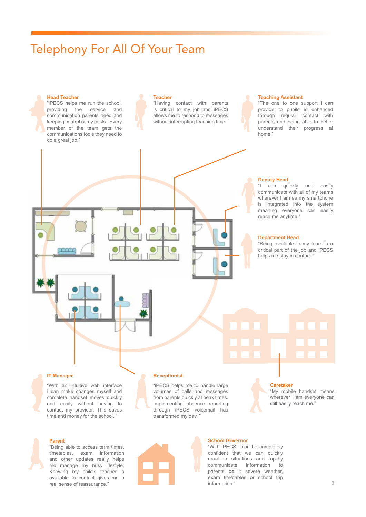# Telephony For All Of Your Team

#### **Head Teacher**

"iPECS helps me run the school, providing the service and communication parents need and keeping control of my costs. Every member of the team gets the communications tools they need to do a great job."

#### **Teacher**

"Having contact with parents is critical to my job and iPECS allows me to respond to messages without interrupting teaching time."

#### **Teaching Assistant**

"The one to one support I can provide to pupils is enhanced through regular contact with parents and being able to better understand their progress at home."

# を出会命の

#### **Deputy Head**

"I can quickly and easily communicate with all of my teams wherever I am as my smartphone is integrated into the system meaning everyone can easily reach me anytime."

#### **Department Head**

"Being available to my team is a critical part of the job and iPECS helps me stay in contact."

#### **IT Manager**

"With an intuitive web interface I can make changes myself and complete handset moves quickly and easily without having to contact my provider. This saves time and money for the school. "

#### **Receptionist**

"iPECS helps me to handle large volumes of calls and messages from parents quickly at peak times. Implementing absence reporting through iPECS voicemail has transformed my day. "

#### **Caretaker**

"My mobile handset means wherever I am everyone can still easily reach me.

#### **Parent**

"Being able to access term times, timetables, exam information and other updates really helps me manage my busy lifestyle. Knowing my child's teacher is available to contact gives me a real sense of reassurance."

**School Governor** "With iPECS I can be completely

confident that we can quickly react to situations and rapidly communicate information to parents be it severe weather, exam timetables or school trip information."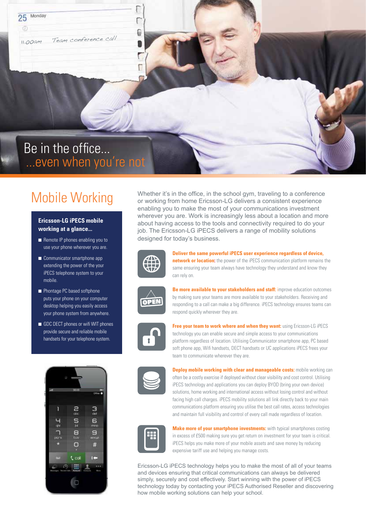11.00am Team conference call

Monday

25

# Be in the office... ...even when you're not

# Mobile Working

#### **Ericsson-LG iPECS mobile working at a glance...**

- Remote IP phones enabling you to use your phone wherever you are.
- Communicator smartphone app extending the power of the your iPECS telephone system to your mobile.
- Phontage PC based softphone puts your phone on your computer desktop helping you easily access your phone system from anywhere.
- GDC DECT phones or wifi WIT phones provide secure and reliable mobile handsets for your telephone system.



Whether it's in the office, in the school gym, traveling to a conference or working from home Ericsson-LG delivers a consistent experience enabling you to make the most of your communications investment wherever you are. Work is increasingly less about a location and more about having access to the tools and connectivity required to do your job. The Ericsson-LG iPECS delivers a range of mobility solutions designed for today's business.



€

**Deliver the same powerful iPECS user experience regardless of device, network or location:** the power of the iPECS communication platform remains the same ensuring your team always have technology they understand and know they can rely on.



**Be more available to vour stakeholders and staff:** improve education outcomes by making sure your teams are more available to your stakeholders. Receiving and responding to a call can make a big difference. iPECS technology ensures teams can respond quickly wherever they are.



**Free your team to work where and when they want:** using Ericsson-LG iPECS technology you can enable secure and simple access to your communications platform regardless of location. Utilising Communicator smartphone app, PC based soft phone app, Wifi handsets, DECT handsets or UC applications iPECS frees your team to communicate wherever they are.



**Deploy mobile working with clear and manageable costs:** mobile working can often be a costly exercise if deployed without clear visibility and cost control. Utilising iPECS technology and applications you can deploy BYOD (bring your own device) solutions, home working and international access without losing control and without facing high call charges. iPECS mobility solutions all link directly back to your main communications platform ensuring you utilise the best call rates, access technologies and maintain full visibility and control of every call made regardless of location.



**Make more of your smartphone investments:** with typical smartphones costing in excess of £500 making sure you get return on investment for your team is critical. iPECS helps you make more of your mobile assets and save money by reducing expensive tariff use and helping you manage costs.

Ericsson-LG iPECS technology helps you to make the most of all of your teams and devices ensuring that critical communications can always be delivered simply, securely and cost effectively. Start winning with the power of iPECS technology today by contacting your iPECS Authorised Reseller and discovering how mobile working solutions can help your school.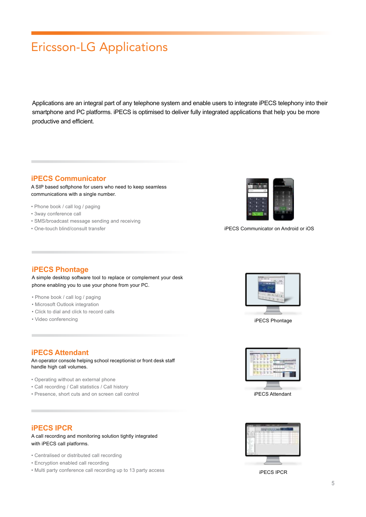# Ericsson-LG Applications

Applications are an integral part of any telephone system and enable users to integrate iPECS telephony into their smartphone and PC platforms. iPECS is optimised to deliver fully integrated applications that help you be more productive and efficient.

#### **iPECS Communicator**

A SIP based softphone for users who need to keep seamless communications with a single number.

- Phone book / call log / paging
- 3way conference call
- SMS/broadcast message sending and receiving
- One-touch blind/consult transfer



iPECS Communicator on Android or iOS

#### **iPECS Phontage**

A simple desktop software tool to replace or complement your desk phone enabling you to use your phone from your PC.

- Phone book / call log / paging
- Microsoft Outlook integration
- Click to dial and click to record calls
- Video conferencing

#### **iPECS Attendant**

An operator console helping school receptionist or front desk staff handle high call volumes.

- Operating without an external phone
- Call recording / Call statistics / Call history
- Presence, short cuts and on screen call control

#### **iPECS IPCR**

A call recording and monitoring solution tightly integrated with iPECS call platforms.

- Centralised or distributed call recording
- Encryption enabled call recording
- Multi party conference call recording up to 13 party access



iPECS Phontage



iPECS Attendant



iPECS IPCR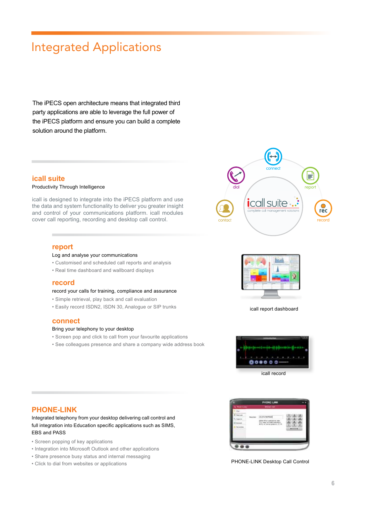# Integrated Applications

The iPECS open architecture means that integrated third party applications are able to leverage the full power of the iPECS platform and ensure you can build a complete solution around the platform.

#### **icall suite**

#### Productivity Through Intelligence

icall is designed to integrate into the iPECS platform and use the data and system functionality to deliver you greater insight and control of your communications platform. icall modules cover call reporting, recording and desktop call control.

#### **report**

#### Log and analyse your communications

- Customised and scheduled call reports and analysis
- Real time dashboard and wallboard displays

#### **record**

#### record your calls for training, compliance and assurance

- Simple retrieval, play back and call evaluation
- Easily record ISDN2, ISDN 30, Analogue or SIP trunks

#### **connect**

#### Bring your telephony to your desktop

- Screen pop and click to call from your favourite applications
- See colleagues presence and share a company wide address book





icall report dashboard



icall record

#### **PHONE-LINK**

Integrated telephony from your desktop delivering call control and full integration into Education specific applications such as SIMS, EBS and PASS

- Screen popping of key applications
- Integration into Microsoft Outlook and other applications
- Share presence busy status and internal messaging
- Click to dial from websites or applications



PHONE-LINK Desktop Call Control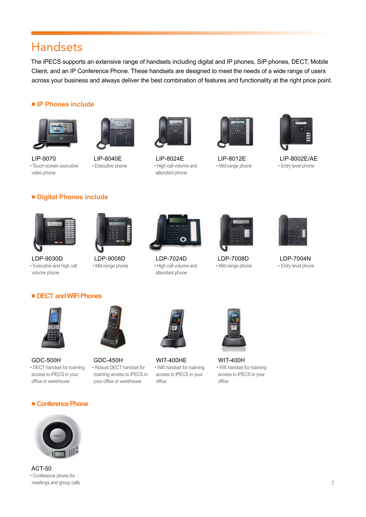### Handsets

The iPECS supports an extensive range of handsets including digital and IP phones, SIP phones, DECT, Mobile Client, and an IP Conference Phone. These handsets are designed to meet the needs of a wide range of users across your business and always deliver the best combination of features and functionality at the right price point.

#### ■ **IP Phones include**





LIP-9070 • Touch screen executive video phone

LIP-8040E

• Executive phone



LIP-8024E • High call volume and attendant phone



LIP-8012E • Mid-range phone



LIP-8002E/AE • Entry level phone

#### ■ **Digital Phones include**



LDP-9030D • Executive and high call volume phone



LDP-9008D • Mid-range phone



LDP-7024D • High call volume and attendant phone



LDP-7008D • Mid-range phone



LDP-7004N • Entry level phone

#### ■ **DECT and WiFi Phones**



GDC-500H • DECT handset for roaming access to iPECS in your office or warehouse



GDC-450H • Robust DECT handset for roaming access to iPECS in your office or warehouse



WIT-400HE • Wifi handset for roaming access to iPECS in your office



WIT-400H • Wifi handset for roaming access to iPECS in your office

#### ■ **Conference Phone**



ACT-50 • Conference phone for meetings and group calls

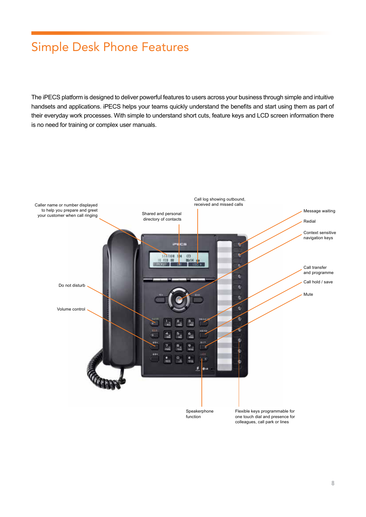# Simple Desk Phone Features

The iPECS platform is designed to deliver powerful features to users across your business through simple and intuitive handsets and applications. iPECS helps your teams quickly understand the benefits and start using them as part of their everyday work processes. With simple to understand short cuts, feature keys and LCD screen information there is no need for training or complex user manuals.

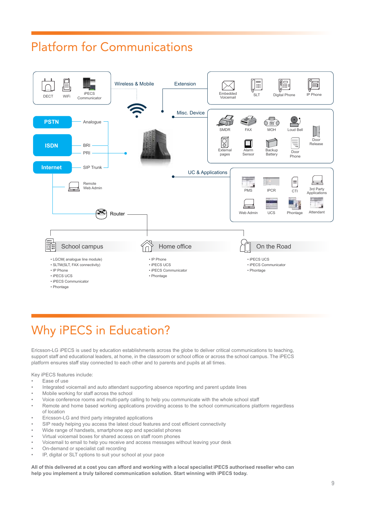# Platform for Communications



# Why iPECS in Education?

Ericsson-LG iPECS is used by education establishments across the globe to deliver critical communications to teaching, support staff and educational leaders, at home, in the classroom or school office or across the school campus. The iPECS platform ensures staff stay connected to each other and to parents and pupils at all times.

Key iPECS features include:

- Ease of use
- Integrated voicemail and auto attendant supporting absence reporting and parent update lines
- Mobile working for staff across the school
- Voice conference rooms and multi-party calling to help you communicate with the whole school staff
- Remote and home based working applications providing access to the school communications platform regardless
- of location
- Ericsson-LG and third party integrated applications
- SIP ready helping you access the latest cloud features and cost efficient connectivity
- Wide range of handsets, smartphone app and specialist phones
- Virtual voicemail boxes for shared access on staff room phones
- Voicemail to email to help you receive and access messages without leaving your desk
- On-demand or specialist call recording
- IP, digital or SLT options to suit your school at your pace

**All of this delivered at a cost you can afford and working with a local specialist iPECS authorised reseller who can help you implement a truly tailored communication solution. Start winning with iPECS today.**